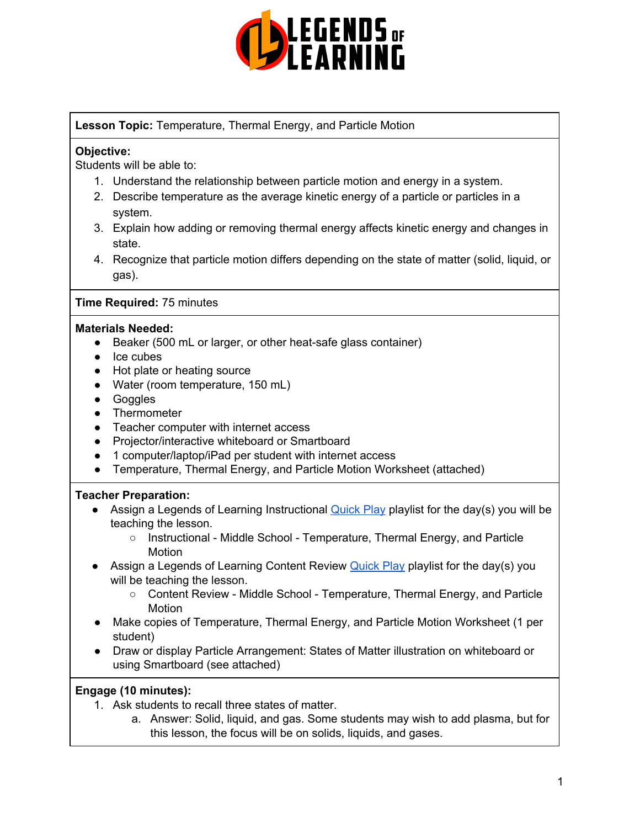

### **Lesson Topic:** Temperature, Thermal Energy, and Particle Motion

#### **Objective:**

Students will be able to:

- 1. Understand the relationship between particle motion and energy in a system.
- 2. Describe temperature as the average kinetic energy of a particle or particles in a system.
- 3. Explain how adding or removing thermal energy affects kinetic energy and changes in state.
- 4. Recognize that particle motion differs depending on the state of matter (solid, liquid, or gas).

#### **Time Required:** 75 minutes

#### **Materials Needed:**

- Beaker (500 mL or larger, or other heat-safe glass container)
- Ice cubes
- Hot plate or heating source
- Water (room temperature, 150 mL)
- Goggles
- Thermometer
- Teacher computer with internet access
- Projector/interactive whiteboard or Smartboard
- 1 computer/laptop/iPad per student with internet access
- Temperature, Thermal Energy, and Particle Motion Worksheet (attached)

### **Teacher Preparation:**

- **•** Assign a Legends of Learning Instructional [Quick](https://intercom.help/legends-of-learning/en/articles/2701866-assigning-a-quick-play-playlist) Play playlist for the day(s) you will be teaching the lesson.
	- Instructional Middle School Temperature, Thermal Energy, and Particle **Motion**
- **•** Assign a Legends of Learning Content Review [Quick](https://intercom.help/legends-of-learning/en/articles/2701866-assigning-a-quick-play-playlist) Play playlist for the day(s) you will be teaching the lesson.
	- Content Review Middle School Temperature, Thermal Energy, and Particle Motion
- Make copies of Temperature, Thermal Energy, and Particle Motion Worksheet (1 per student)
- Draw or display Particle Arrangement: States of Matter illustration on whiteboard or using Smartboard (see attached)

#### **Engage (10 minutes):**

- 1. Ask students to recall three states of matter.
	- a. Answer: Solid, liquid, and gas. Some students may wish to add plasma, but for this lesson, the focus will be on solids, liquids, and gases.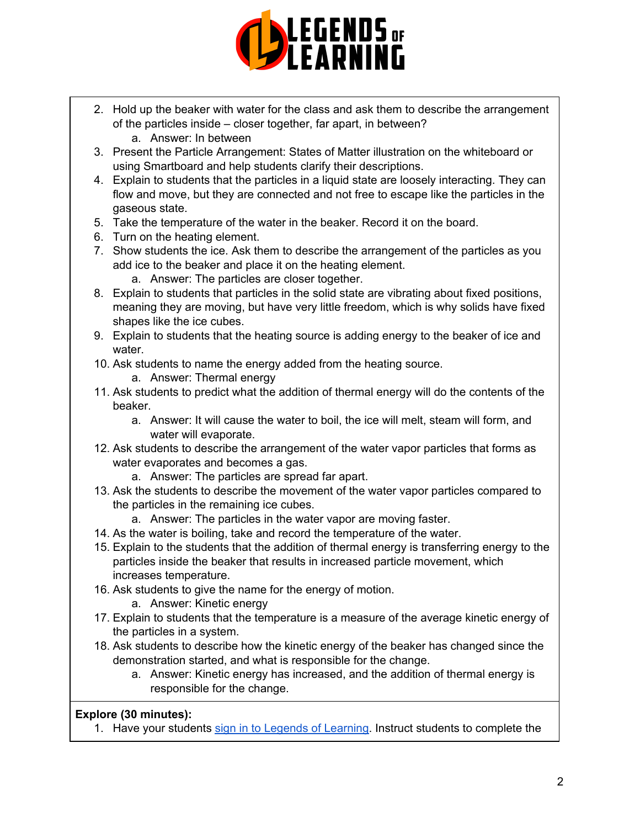

- 2. Hold up the beaker with water for the class and ask them to describe the arrangement of the particles inside – closer together, far apart, in between?
	- a. Answer: In between
- 3. Present the Particle Arrangement: States of Matter illustration on the whiteboard or using Smartboard and help students clarify their descriptions.
- 4. Explain to students that the particles in a liquid state are loosely interacting. They can flow and move, but they are connected and not free to escape like the particles in the gaseous state.
- 5. Take the temperature of the water in the beaker. Record it on the board.
- 6. Turn on the heating element.
- 7. Show students the ice. Ask them to describe the arrangement of the particles as you add ice to the beaker and place it on the heating element.
	- a. Answer: The particles are closer together.
- 8. Explain to students that particles in the solid state are vibrating about fixed positions, meaning they are moving, but have very little freedom, which is why solids have fixed shapes like the ice cubes.
- 9. Explain to students that the heating source is adding energy to the beaker of ice and water.
- 10. Ask students to name the energy added from the heating source.
	- a. Answer: Thermal energy
- 11. Ask students to predict what the addition of thermal energy will do the contents of the beaker.
	- a. Answer: It will cause the water to boil, the ice will melt, steam will form, and water will evaporate.
- 12. Ask students to describe the arrangement of the water vapor particles that forms as water evaporates and becomes a gas.
	- a. Answer: The particles are spread far apart.
- 13. Ask the students to describe the movement of the water vapor particles compared to the particles in the remaining ice cubes.
	- a. Answer: The particles in the water vapor are moving faster.
- 14. As the water is boiling, take and record the temperature of the water.
- 15. Explain to the students that the addition of thermal energy is transferring energy to the particles inside the beaker that results in increased particle movement, which increases temperature.
- 16. Ask students to give the name for the energy of motion.
	- a. Answer: Kinetic energy
- 17. Explain to students that the temperature is a measure of the average kinetic energy of the particles in a system.
- 18. Ask students to describe how the kinetic energy of the beaker has changed since the demonstration started, and what is responsible for the change.
	- a. Answer: Kinetic energy has increased, and the addition of thermal energy is responsible for the change.

### **Explore (30 minutes):**

1. Have your students sign in to Legends of [Learning](https://intercom.help/legends-of-learning/en/articles/2154920-students-joining-a-playlist). Instruct students to complete the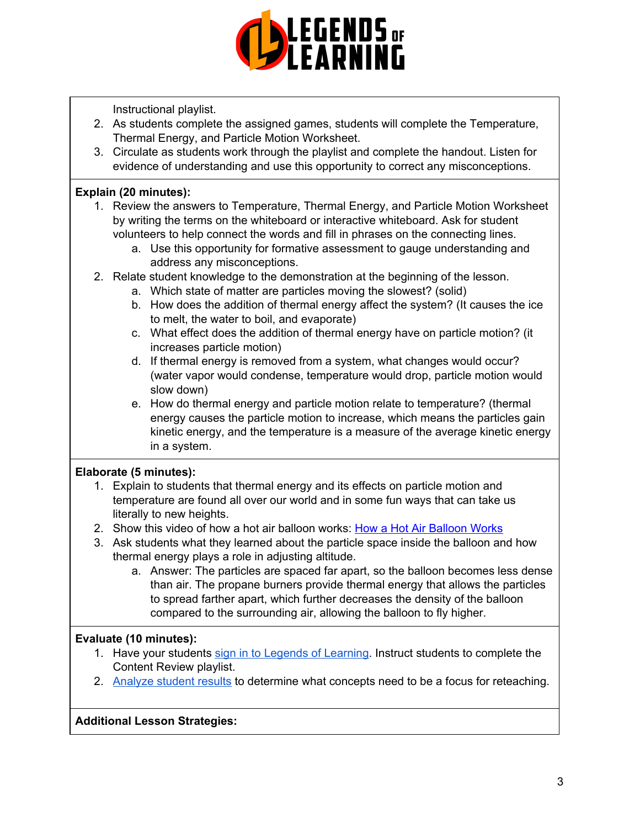

Instructional playlist.

- 2. As students complete the assigned games, students will complete the Temperature, Thermal Energy, and Particle Motion Worksheet.
- 3. Circulate as students work through the playlist and complete the handout. Listen for evidence of understanding and use this opportunity to correct any misconceptions.

### **Explain (20 minutes):**

- 1. Review the answers to Temperature, Thermal Energy, and Particle Motion Worksheet by writing the terms on the whiteboard or interactive whiteboard. Ask for student volunteers to help connect the words and fill in phrases on the connecting lines.
	- a. Use this opportunity for formative assessment to gauge understanding and address any misconceptions.
- 2. Relate student knowledge to the demonstration at the beginning of the lesson.
	- a. Which state of matter are particles moving the slowest? (solid)
	- b. How does the addition of thermal energy affect the system? (It causes the ice to melt, the water to boil, and evaporate)
	- c. What effect does the addition of thermal energy have on particle motion? (it increases particle motion)
	- d. If thermal energy is removed from a system, what changes would occur? (water vapor would condense, temperature would drop, particle motion would slow down)
	- e. How do thermal energy and particle motion relate to temperature? (thermal energy causes the particle motion to increase, which means the particles gain kinetic energy, and the temperature is a measure of the average kinetic energy in a system.

## **Elaborate (5 minutes):**

- 1. Explain to students that thermal energy and its effects on particle motion and temperature are found all over our world and in some fun ways that can take us literally to new heights.
- 2. Show this video of how a hot air balloon works: How a Hot Air [Balloon](https://www.youtube.com/watch?v=77Ej_Ayugxk) Works
- 3. Ask students what they learned about the particle space inside the balloon and how thermal energy plays a role in adjusting altitude.
	- a. Answer: The particles are spaced far apart, so the balloon becomes less dense than air. The propane burners provide thermal energy that allows the particles to spread farther apart, which further decreases the density of the balloon compared to the surrounding air, allowing the balloon to fly higher.

### **Evaluate (10 minutes):**

- 1. Have your students sign in to Legends of [Learning](https://intercom.help/legends-of-learning/en/articles/2154920-students-joining-a-playlist). Instruct students to complete the Content Review playlist.
- 2. [Analyze](https://intercom.help/legends-of-learning/en/articles/2154918-tracking-student-progress-and-performance) student results to determine what concepts need to be a focus for reteaching.

### **Additional Lesson Strategies:**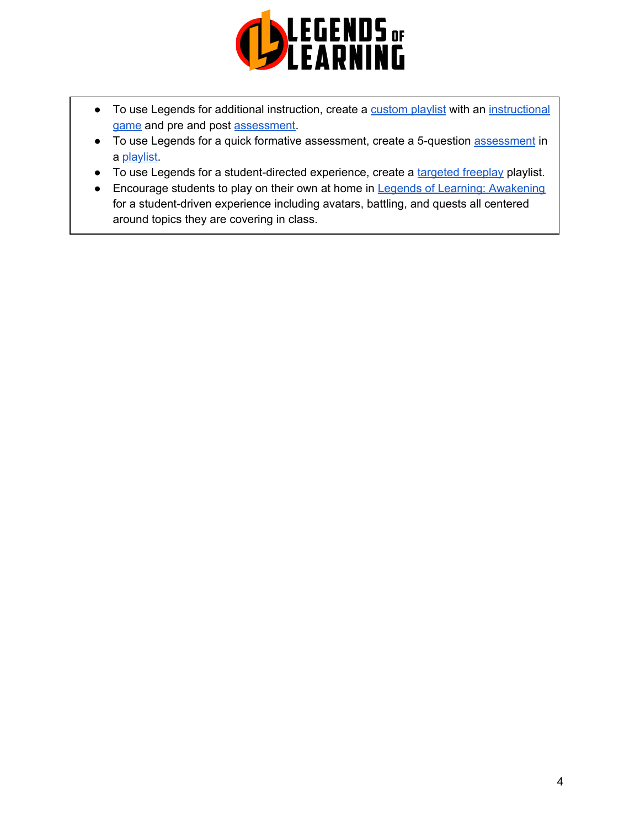

- To use Legends for additional instruction, create a [custom](https://intercom.help/legends-of-learning/en/articles/2154910-creating-a-playlist) playlist with an [instructional](https://intercom.help/legends-of-learning/en/articles/3505828-types-of-games) [game](https://intercom.help/legends-of-learning/en/articles/3505828-types-of-games) and pre and post [assessment.](https://intercom.help/legends-of-learning/en/articles/2154913-adding-assessments-to-a-playlist)
- To use Legends for a quick formative [assessment](https://intercom.help/legends-of-learning/en/articles/2154913-adding-assessments-to-a-playlist), create a 5-question assessment in a [playlist.](https://intercom.help/legends-of-learning/en/articles/2154910-creating-a-playlist)
- To use Legends for a student-directed experience, create a [targeted](https://intercom.help/legends-of-learning/en/articles/3340814-targeted-freeplay) freeplay playlist.
- Encourage students to play on their own at home in Legends of Learning: [Awakening](https://intercom.help/legends-of-learning/en/articles/2425490-legends-of-learning-awakening) for a student-driven experience including avatars, battling, and quests all centered around topics they are covering in class.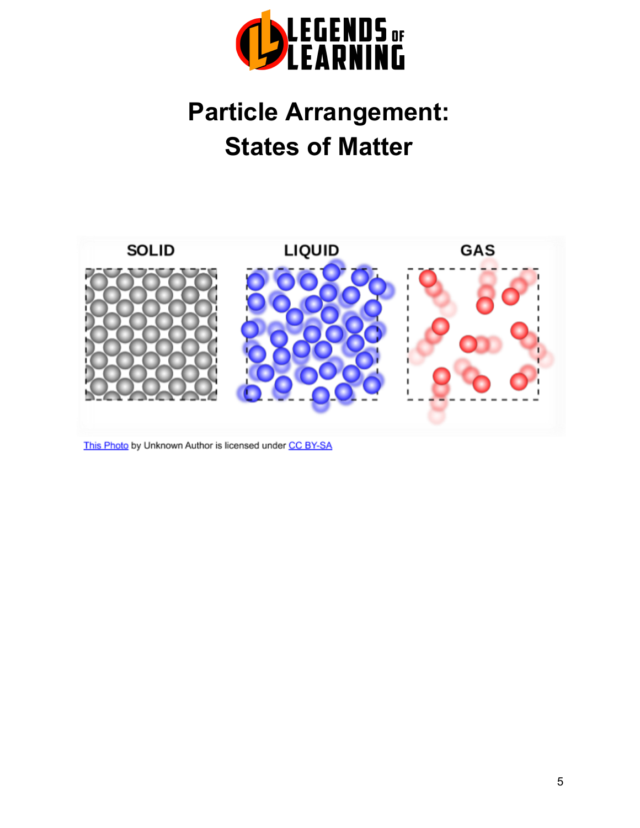

# **Particle Arrangement: States of Matter**



This Photo by Unknown Author is licensed under CC BY-SA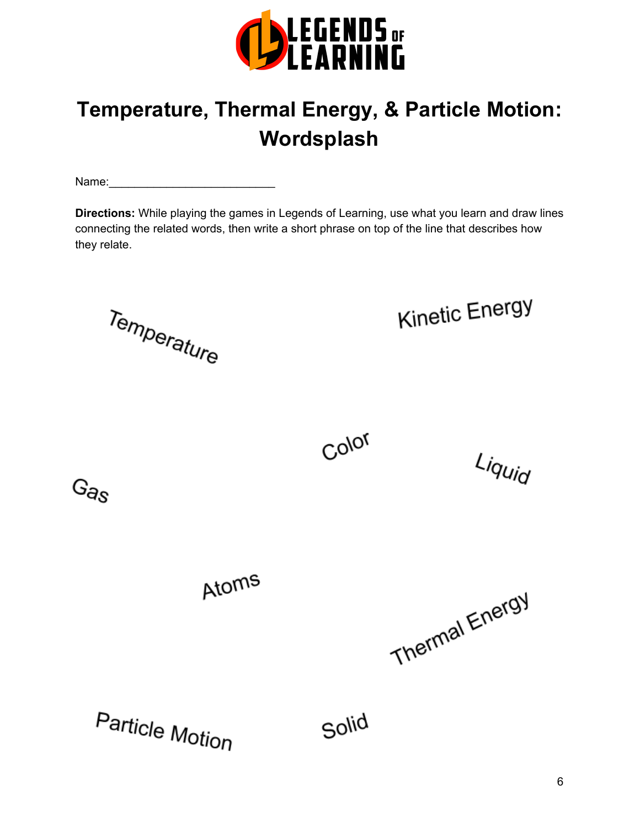

# **Temperature, Thermal Energy, & Particle Motion: Wordsplash**

Name:\_\_\_\_\_\_\_\_\_\_\_\_\_\_\_\_\_\_\_\_\_\_\_\_\_\_

**Directions:** While playing the games in Legends of Learning, use what you learn and draw lines connecting the related words, then write a short phrase on top of the line that describes how they relate.

Temperature

 $G_{\theta S}$ 

Kinetic Energy

Color

Liquid

Atoms

Thermal Energy

Particle Motion

Solid